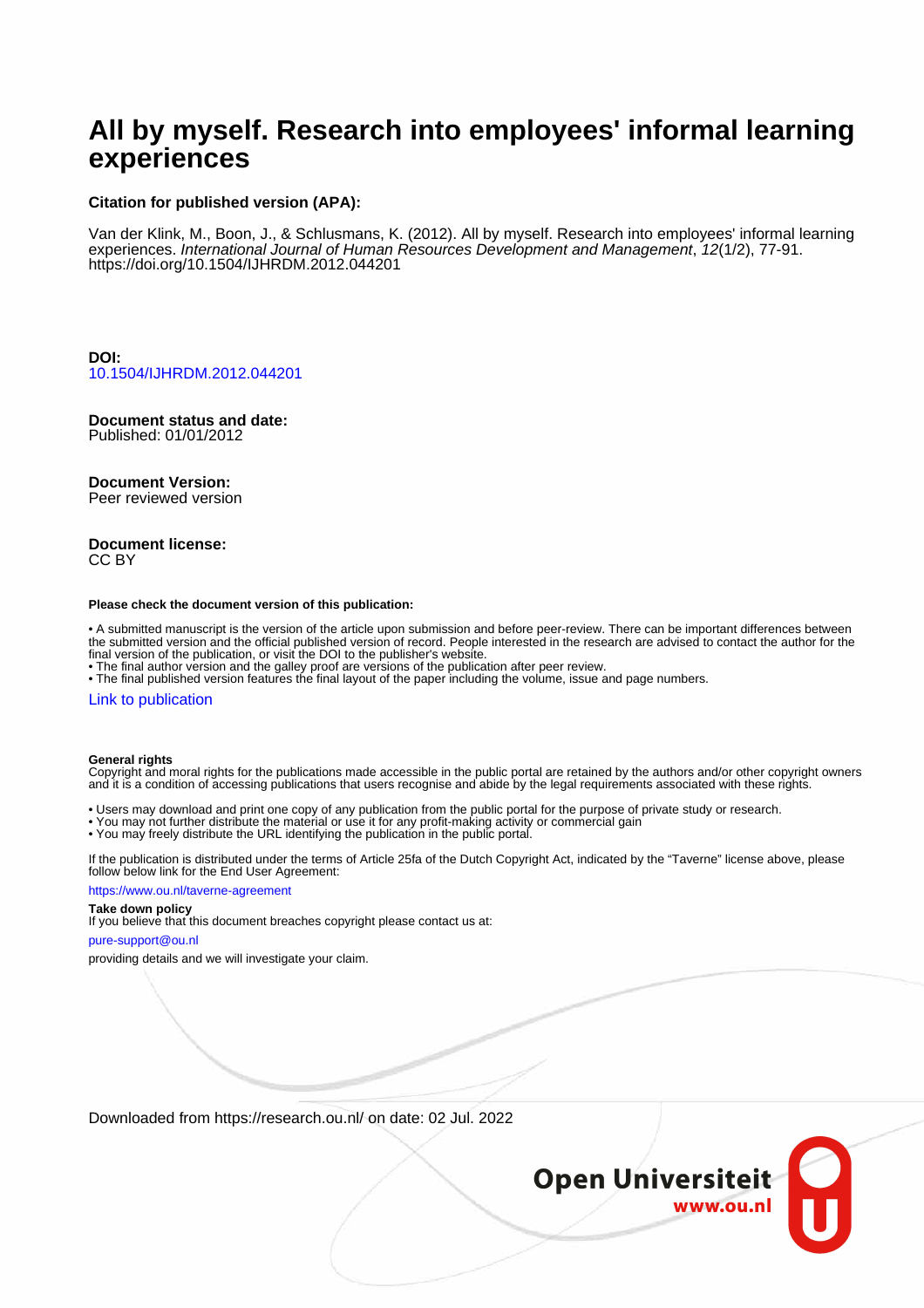# **All by myself. Research into employees' informal learning experiences**

#### **Citation for published version (APA):**

Van der Klink, M., Boon, J., & Schlusmans, K. (2012). All by myself. Research into employees' informal learning experiences. International Journal of Human Resources Development and Management, 12(1/2), 77-91. <https://doi.org/10.1504/IJHRDM.2012.044201>

**DOI:** [10.1504/IJHRDM.2012.044201](https://doi.org/10.1504/IJHRDM.2012.044201)

## **Document status and date:**

Published: 01/01/2012

#### **Document Version:**

Peer reviewed version

#### **Document license:** CC BY

#### **Please check the document version of this publication:**

• A submitted manuscript is the version of the article upon submission and before peer-review. There can be important differences between the submitted version and the official published version of record. People interested in the research are advised to contact the author for the final version of the publication, or visit the DOI to the publisher's website.

• The final author version and the galley proof are versions of the publication after peer review.

• The final published version features the final layout of the paper including the volume, issue and page numbers.

#### [Link to publication](https://research.ou.nl/en/publications/9bf453b1-37af-41f5-be3d-152e42ab38b3)

#### **General rights**

Copyright and moral rights for the publications made accessible in the public portal are retained by the authors and/or other copyright owners and it is a condition of accessing publications that users recognise and abide by the legal requirements associated with these rights.

- Users may download and print one copy of any publication from the public portal for the purpose of private study or research.
- You may not further distribute the material or use it for any profit-making activity or commercial gain
- You may freely distribute the URL identifying the publication in the public portal.

If the publication is distributed under the terms of Article 25fa of the Dutch Copyright Act, indicated by the "Taverne" license above, please follow below link for the End User Agreement:

#### https://www.ou.nl/taverne-agreement

## **Take down policy**

If you believe that this document breaches copyright please contact us at:

#### pure-support@ou.nl

providing details and we will investigate your claim.

Downloaded from https://research.ou.nl/ on date: 02 Jul. 2022

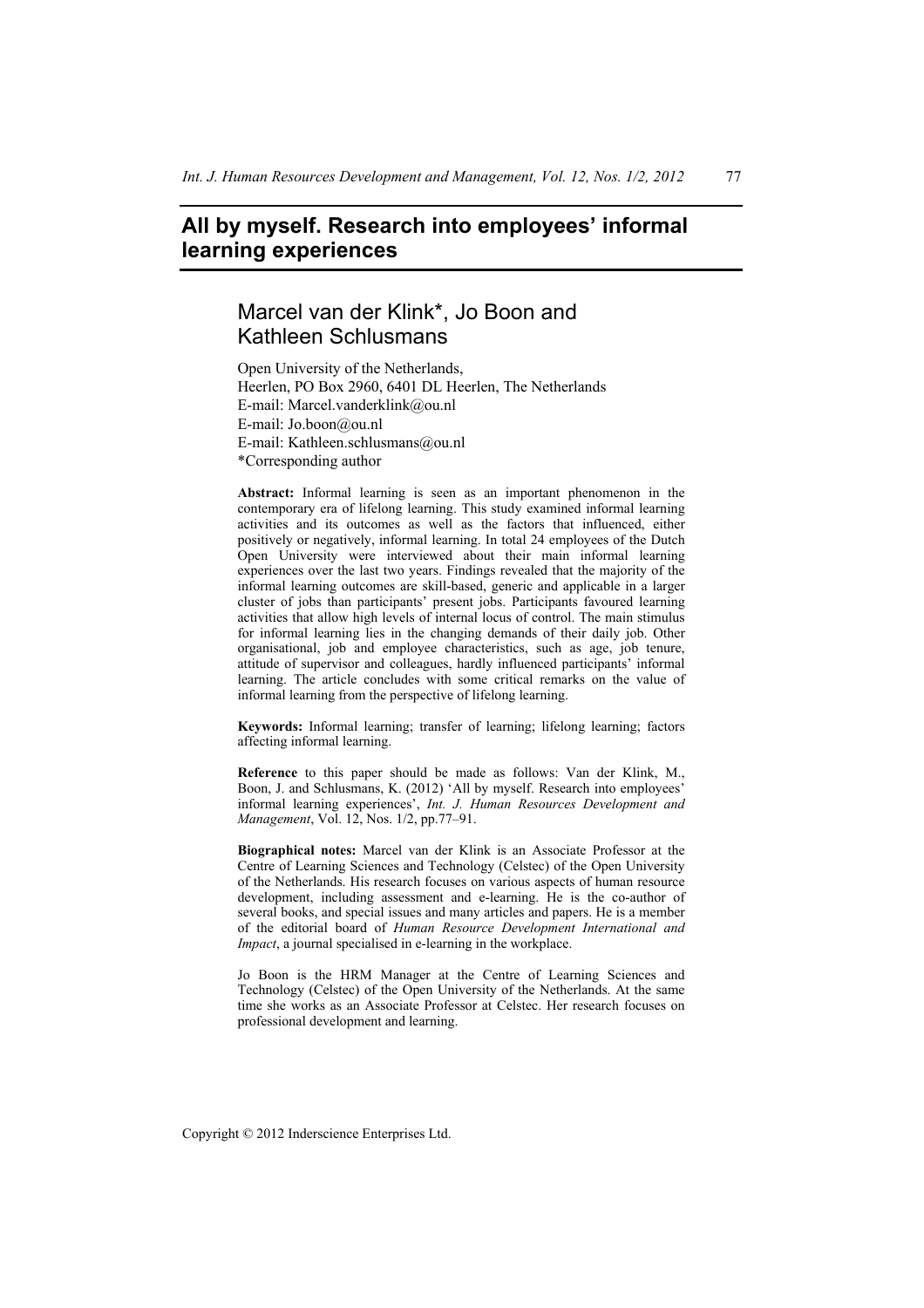## **All by myself. Research into employees' informal learning experiences**

## Marcel van der Klink\*, Jo Boon and Kathleen Schlusmans

Open University of the Netherlands, Heerlen, PO Box 2960, 6401 DL Heerlen, The Netherlands E-mail: Marcel.vanderklink@ou.nl E-mail: Jo.boon@ou.nl E-mail: Kathleen.schlusmans@ou.nl \*Corresponding author

**Abstract:** Informal learning is seen as an important phenomenon in the contemporary era of lifelong learning. This study examined informal learning activities and its outcomes as well as the factors that influenced, either positively or negatively, informal learning. In total 24 employees of the Dutch Open University were interviewed about their main informal learning experiences over the last two years. Findings revealed that the majority of the informal learning outcomes are skill-based, generic and applicable in a larger cluster of jobs than participants' present jobs. Participants favoured learning activities that allow high levels of internal locus of control. The main stimulus for informal learning lies in the changing demands of their daily job. Other organisational, job and employee characteristics, such as age, job tenure, attitude of supervisor and colleagues, hardly influenced participants' informal learning. The article concludes with some critical remarks on the value of informal learning from the perspective of lifelong learning.

**Keywords:** Informal learning; transfer of learning; lifelong learning; factors affecting informal learning.

**Reference** to this paper should be made as follows: Van der Klink, M., Boon, J. and Schlusmans, K. (2012) 'All by myself. Research into employees' informal learning experiences', *Int. J. Human Resources Development and Management*, Vol. 12, Nos. 1/2, pp.77–91.

**Biographical notes:** Marcel van der Klink is an Associate Professor at the Centre of Learning Sciences and Technology (Celstec) of the Open University of the Netherlands. His research focuses on various aspects of human resource development, including assessment and e-learning. He is the co-author of several books, and special issues and many articles and papers. He is a member of the editorial board of *Human Resource Development International and Impact*, a journal specialised in e-learning in the workplace.

Jo Boon is the HRM Manager at the Centre of Learning Sciences and Technology (Celstec) of the Open University of the Netherlands. At the same time she works as an Associate Professor at Celstec. Her research focuses on professional development and learning.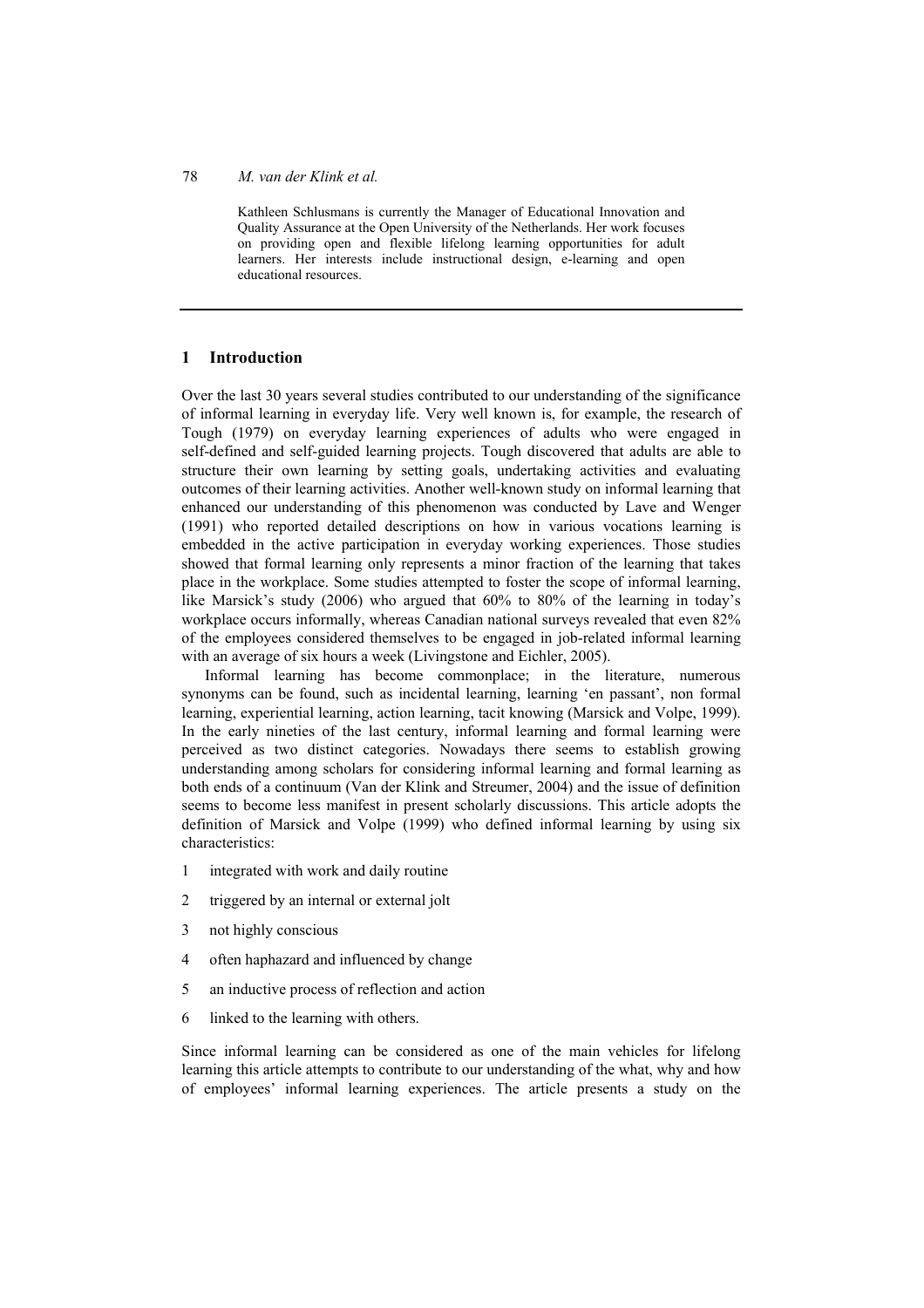Kathleen Schlusmans is currently the Manager of Educational Innovation and Quality Assurance at the Open University of the Netherlands. Her work focuses on providing open and flexible lifelong learning opportunities for adult learners. Her interests include instructional design, e-learning and open educational resources.

### **1 Introduction**

Over the last 30 years several studies contributed to our understanding of the significance of informal learning in everyday life. Very well known is, for example, the research of Tough (1979) on everyday learning experiences of adults who were engaged in self-defined and self-guided learning projects. Tough discovered that adults are able to structure their own learning by setting goals, undertaking activities and evaluating outcomes of their learning activities. Another well-known study on informal learning that enhanced our understanding of this phenomenon was conducted by Lave and Wenger (1991) who reported detailed descriptions on how in various vocations learning is embedded in the active participation in everyday working experiences. Those studies showed that formal learning only represents a minor fraction of the learning that takes place in the workplace. Some studies attempted to foster the scope of informal learning, like Marsick's study (2006) who argued that 60% to 80% of the learning in today's workplace occurs informally, whereas Canadian national surveys revealed that even 82% of the employees considered themselves to be engaged in job-related informal learning with an average of six hours a week (Livingstone and Eichler, 2005).

Informal learning has become commonplace; in the literature, numerous synonyms can be found, such as incidental learning, learning 'en passant', non formal learning, experiential learning, action learning, tacit knowing (Marsick and Volpe, 1999). In the early nineties of the last century, informal learning and formal learning were perceived as two distinct categories. Nowadays there seems to establish growing understanding among scholars for considering informal learning and formal learning as both ends of a continuum (Van der Klink and Streumer, 2004) and the issue of definition seems to become less manifest in present scholarly discussions. This article adopts the definition of Marsick and Volpe (1999) who defined informal learning by using six characteristics:

- 1 integrated with work and daily routine
- 2 triggered by an internal or external jolt
- 3 not highly conscious
- 4 often haphazard and influenced by change
- 5 an inductive process of reflection and action
- 6 linked to the learning with others.

Since informal learning can be considered as one of the main vehicles for lifelong learning this article attempts to contribute to our understanding of the what, why and how of employees' informal learning experiences. The article presents a study on the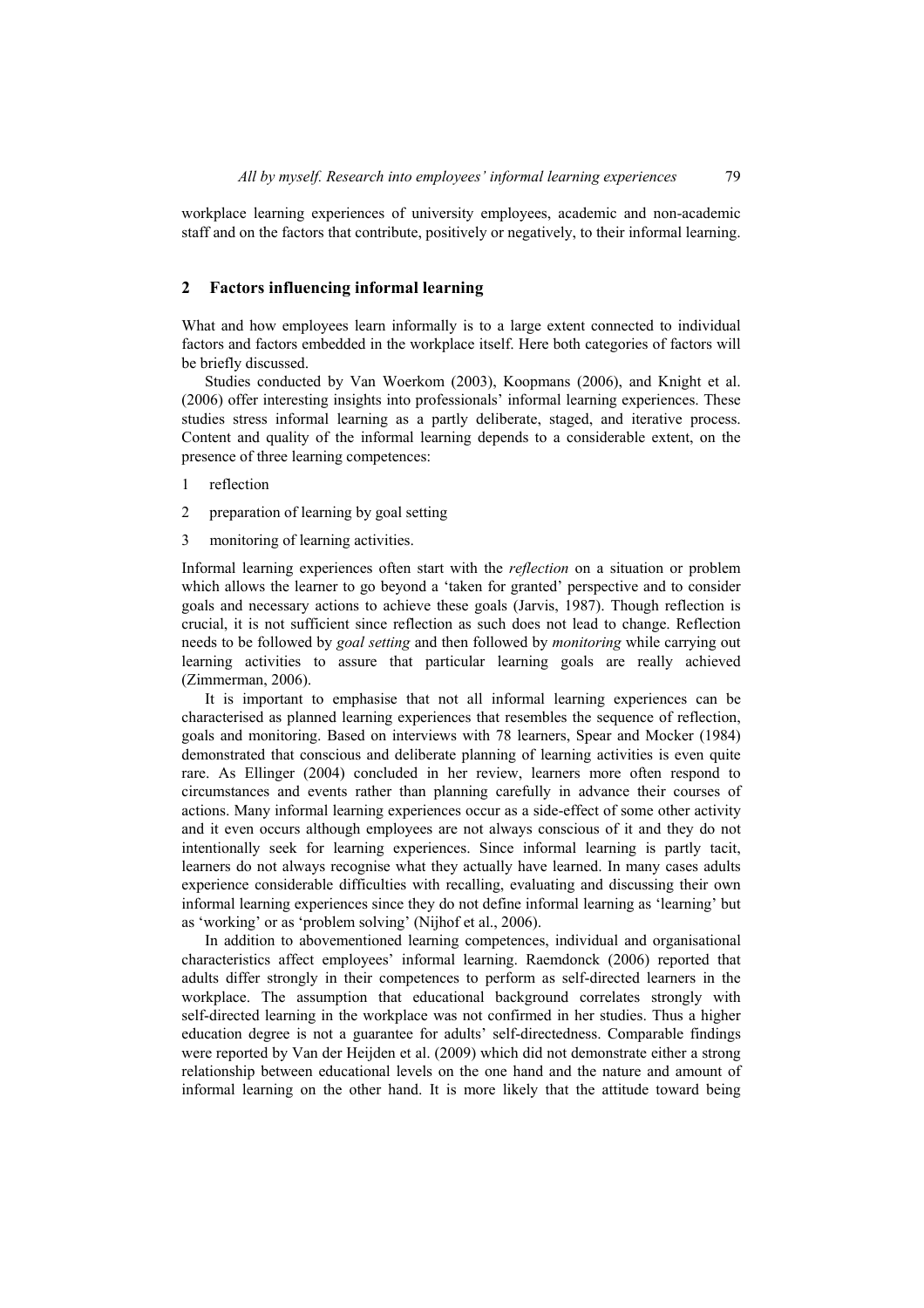workplace learning experiences of university employees, academic and non-academic staff and on the factors that contribute, positively or negatively, to their informal learning.

### **2 Factors influencing informal learning**

What and how employees learn informally is to a large extent connected to individual factors and factors embedded in the workplace itself. Here both categories of factors will be briefly discussed.

Studies conducted by Van Woerkom (2003), Koopmans (2006), and Knight et al. (2006) offer interesting insights into professionals' informal learning experiences. These studies stress informal learning as a partly deliberate, staged, and iterative process. Content and quality of the informal learning depends to a considerable extent, on the presence of three learning competences:

- 1 reflection
- 2 preparation of learning by goal setting
- 3 monitoring of learning activities.

Informal learning experiences often start with the *reflection* on a situation or problem which allows the learner to go beyond a 'taken for granted' perspective and to consider goals and necessary actions to achieve these goals (Jarvis, 1987). Though reflection is crucial, it is not sufficient since reflection as such does not lead to change. Reflection needs to be followed by *goal setting* and then followed by *monitoring* while carrying out learning activities to assure that particular learning goals are really achieved (Zimmerman, 2006).

It is important to emphasise that not all informal learning experiences can be characterised as planned learning experiences that resembles the sequence of reflection, goals and monitoring. Based on interviews with 78 learners, Spear and Mocker (1984) demonstrated that conscious and deliberate planning of learning activities is even quite rare. As Ellinger (2004) concluded in her review, learners more often respond to circumstances and events rather than planning carefully in advance their courses of actions. Many informal learning experiences occur as a side-effect of some other activity and it even occurs although employees are not always conscious of it and they do not intentionally seek for learning experiences. Since informal learning is partly tacit, learners do not always recognise what they actually have learned. In many cases adults experience considerable difficulties with recalling, evaluating and discussing their own informal learning experiences since they do not define informal learning as 'learning' but as 'working' or as 'problem solving' (Nijhof et al., 2006).

In addition to abovementioned learning competences, individual and organisational characteristics affect employees' informal learning. Raemdonck (2006) reported that adults differ strongly in their competences to perform as self-directed learners in the workplace. The assumption that educational background correlates strongly with self-directed learning in the workplace was not confirmed in her studies. Thus a higher education degree is not a guarantee for adults' self-directedness. Comparable findings were reported by Van der Heijden et al. (2009) which did not demonstrate either a strong relationship between educational levels on the one hand and the nature and amount of informal learning on the other hand. It is more likely that the attitude toward being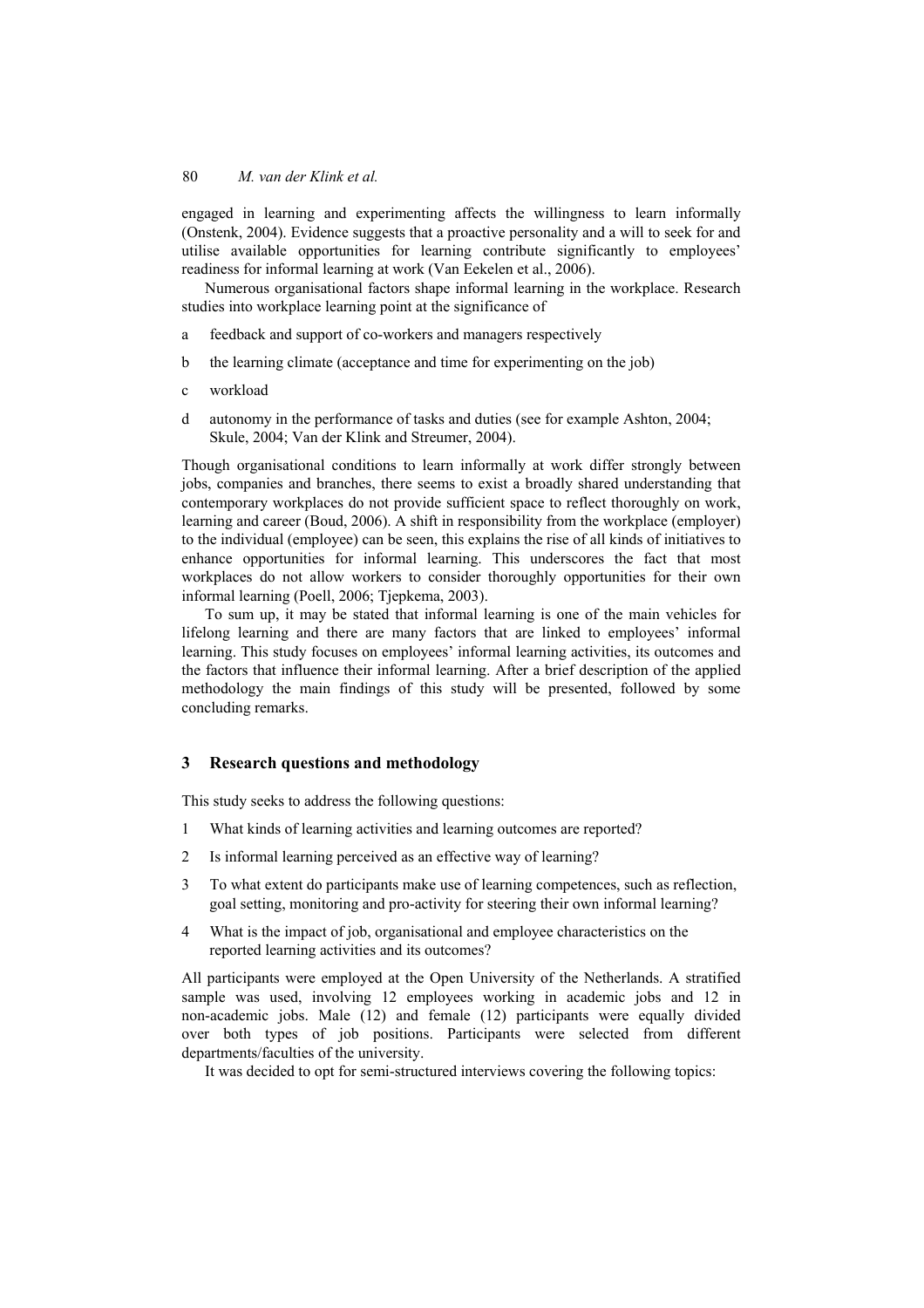engaged in learning and experimenting affects the willingness to learn informally (Onstenk, 2004). Evidence suggests that a proactive personality and a will to seek for and utilise available opportunities for learning contribute significantly to employees' readiness for informal learning at work (Van Eekelen et al., 2006).

Numerous organisational factors shape informal learning in the workplace. Research studies into workplace learning point at the significance of

- a feedback and support of co-workers and managers respectively
- b the learning climate (acceptance and time for experimenting on the job)
- c workload
- d autonomy in the performance of tasks and duties (see for example Ashton, 2004; Skule, 2004; Van der Klink and Streumer, 2004).

Though organisational conditions to learn informally at work differ strongly between jobs, companies and branches, there seems to exist a broadly shared understanding that contemporary workplaces do not provide sufficient space to reflect thoroughly on work, learning and career (Boud, 2006). A shift in responsibility from the workplace (employer) to the individual (employee) can be seen, this explains the rise of all kinds of initiatives to enhance opportunities for informal learning. This underscores the fact that most workplaces do not allow workers to consider thoroughly opportunities for their own informal learning (Poell, 2006; Tjepkema, 2003).

To sum up, it may be stated that informal learning is one of the main vehicles for lifelong learning and there are many factors that are linked to employees' informal learning. This study focuses on employees' informal learning activities, its outcomes and the factors that influence their informal learning. After a brief description of the applied methodology the main findings of this study will be presented, followed by some concluding remarks.

#### **3 Research questions and methodology**

This study seeks to address the following questions:

- 1 What kinds of learning activities and learning outcomes are reported?
- 2 Is informal learning perceived as an effective way of learning?
- 3 To what extent do participants make use of learning competences, such as reflection, goal setting, monitoring and pro-activity for steering their own informal learning?
- 4 What is the impact of job, organisational and employee characteristics on the reported learning activities and its outcomes?

All participants were employed at the Open University of the Netherlands. A stratified sample was used, involving 12 employees working in academic jobs and 12 in non-academic jobs. Male (12) and female (12) participants were equally divided over both types of job positions. Participants were selected from different departments/faculties of the university.

It was decided to opt for semi-structured interviews covering the following topics: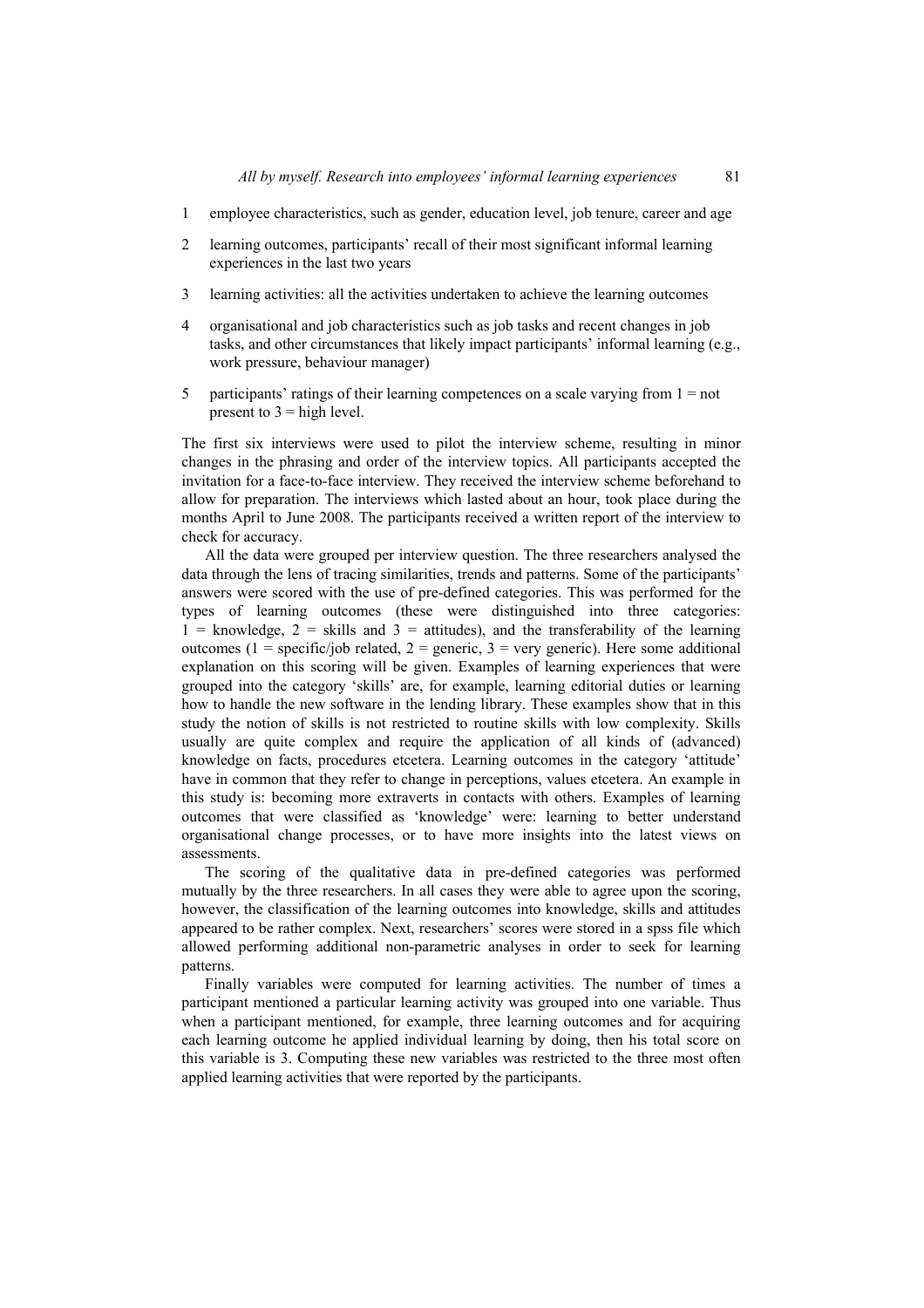- 1 employee characteristics, such as gender, education level, job tenure, career and age
- 2 learning outcomes, participants' recall of their most significant informal learning experiences in the last two years
- 3 learning activities: all the activities undertaken to achieve the learning outcomes
- 4 organisational and job characteristics such as job tasks and recent changes in job tasks, and other circumstances that likely impact participants' informal learning (e.g., work pressure, behaviour manager)
- 5 participants' ratings of their learning competences on a scale varying from 1 = not present to  $3$  = high level.

The first six interviews were used to pilot the interview scheme, resulting in minor changes in the phrasing and order of the interview topics. All participants accepted the invitation for a face-to-face interview. They received the interview scheme beforehand to allow for preparation. The interviews which lasted about an hour, took place during the months April to June 2008. The participants received a written report of the interview to check for accuracy.

All the data were grouped per interview question. The three researchers analysed the data through the lens of tracing similarities, trends and patterns. Some of the participants' answers were scored with the use of pre-defined categories. This was performed for the types of learning outcomes (these were distinguished into three categories:  $1 =$  knowledge,  $2 =$  skills and  $3 =$  attitudes), and the transferability of the learning outcomes (1 = specific/job related, 2 = generic, 3 = very generic). Here some additional explanation on this scoring will be given. Examples of learning experiences that were grouped into the category 'skills' are, for example, learning editorial duties or learning how to handle the new software in the lending library. These examples show that in this study the notion of skills is not restricted to routine skills with low complexity. Skills usually are quite complex and require the application of all kinds of (advanced) knowledge on facts, procedures etcetera. Learning outcomes in the category 'attitude' have in common that they refer to change in perceptions, values etcetera. An example in this study is: becoming more extraverts in contacts with others. Examples of learning outcomes that were classified as 'knowledge' were: learning to better understand organisational change processes, or to have more insights into the latest views on assessments.

The scoring of the qualitative data in pre-defined categories was performed mutually by the three researchers. In all cases they were able to agree upon the scoring, however, the classification of the learning outcomes into knowledge, skills and attitudes appeared to be rather complex. Next, researchers' scores were stored in a spss file which allowed performing additional non-parametric analyses in order to seek for learning patterns.

Finally variables were computed for learning activities. The number of times a participant mentioned a particular learning activity was grouped into one variable. Thus when a participant mentioned, for example, three learning outcomes and for acquiring each learning outcome he applied individual learning by doing, then his total score on this variable is 3. Computing these new variables was restricted to the three most often applied learning activities that were reported by the participants.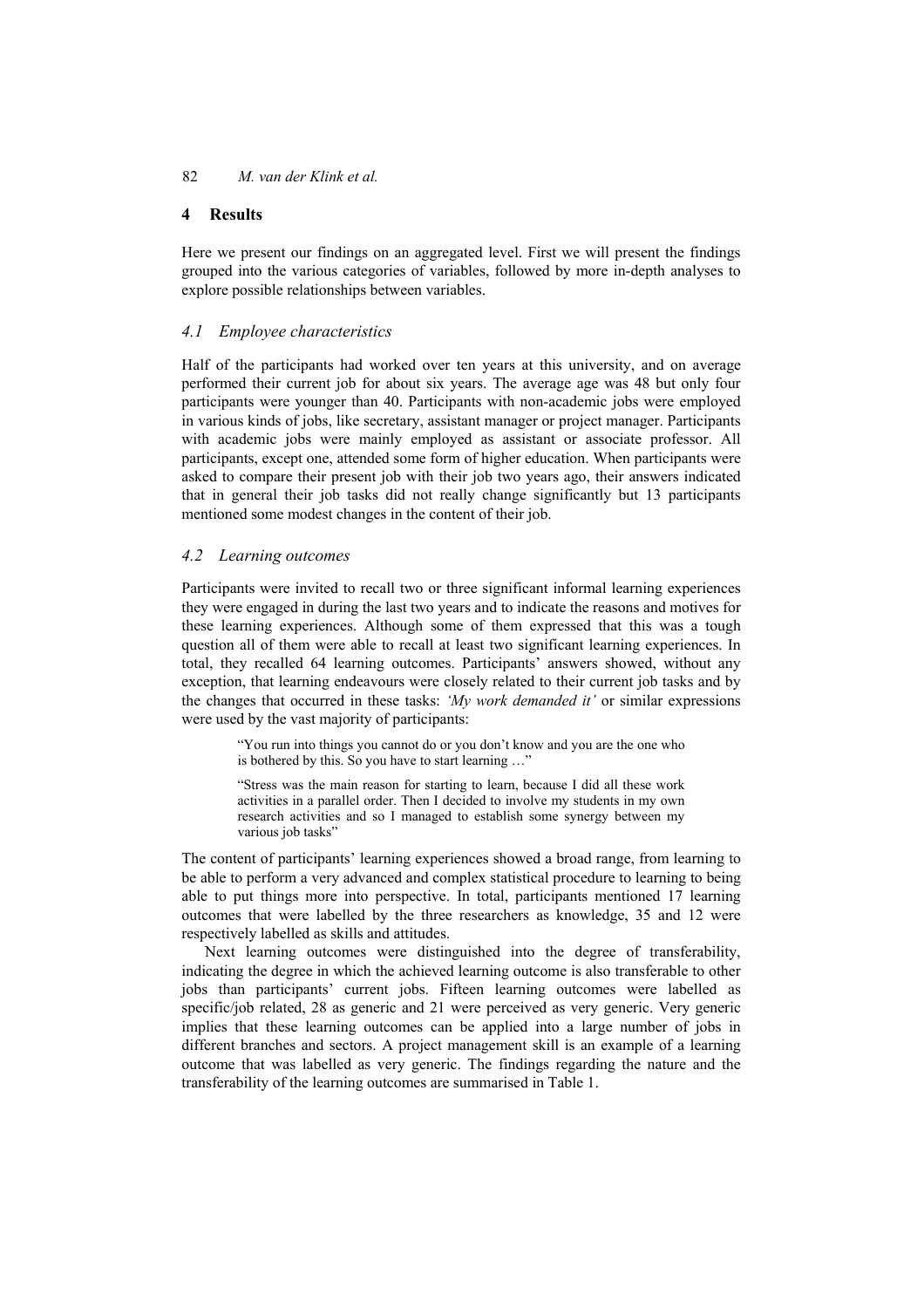#### **4 Results**

Here we present our findings on an aggregated level. First we will present the findings grouped into the various categories of variables, followed by more in-depth analyses to explore possible relationships between variables.

#### *4.1 Employee characteristics*

Half of the participants had worked over ten years at this university, and on average performed their current job for about six years. The average age was 48 but only four participants were younger than 40. Participants with non-academic jobs were employed in various kinds of jobs, like secretary, assistant manager or project manager. Participants with academic jobs were mainly employed as assistant or associate professor. All participants, except one, attended some form of higher education. When participants were asked to compare their present job with their job two years ago, their answers indicated that in general their job tasks did not really change significantly but 13 participants mentioned some modest changes in the content of their job.

#### *4.2 Learning outcomes*

Participants were invited to recall two or three significant informal learning experiences they were engaged in during the last two years and to indicate the reasons and motives for these learning experiences. Although some of them expressed that this was a tough question all of them were able to recall at least two significant learning experiences. In total, they recalled 64 learning outcomes. Participants' answers showed, without any exception, that learning endeavours were closely related to their current job tasks and by the changes that occurred in these tasks: *'My work demanded it'* or similar expressions were used by the vast majority of participants:

"You run into things you cannot do or you don't know and you are the one who is bothered by this. So you have to start learning …"

"Stress was the main reason for starting to learn, because I did all these work activities in a parallel order. Then I decided to involve my students in my own research activities and so I managed to establish some synergy between my various job tasks"

The content of participants' learning experiences showed a broad range, from learning to be able to perform a very advanced and complex statistical procedure to learning to being able to put things more into perspective. In total, participants mentioned 17 learning outcomes that were labelled by the three researchers as knowledge, 35 and 12 were respectively labelled as skills and attitudes.

Next learning outcomes were distinguished into the degree of transferability, indicating the degree in which the achieved learning outcome is also transferable to other jobs than participants' current jobs. Fifteen learning outcomes were labelled as specific/job related, 28 as generic and 21 were perceived as very generic. Very generic implies that these learning outcomes can be applied into a large number of jobs in different branches and sectors. A project management skill is an example of a learning outcome that was labelled as very generic. The findings regarding the nature and the transferability of the learning outcomes are summarised in Table 1.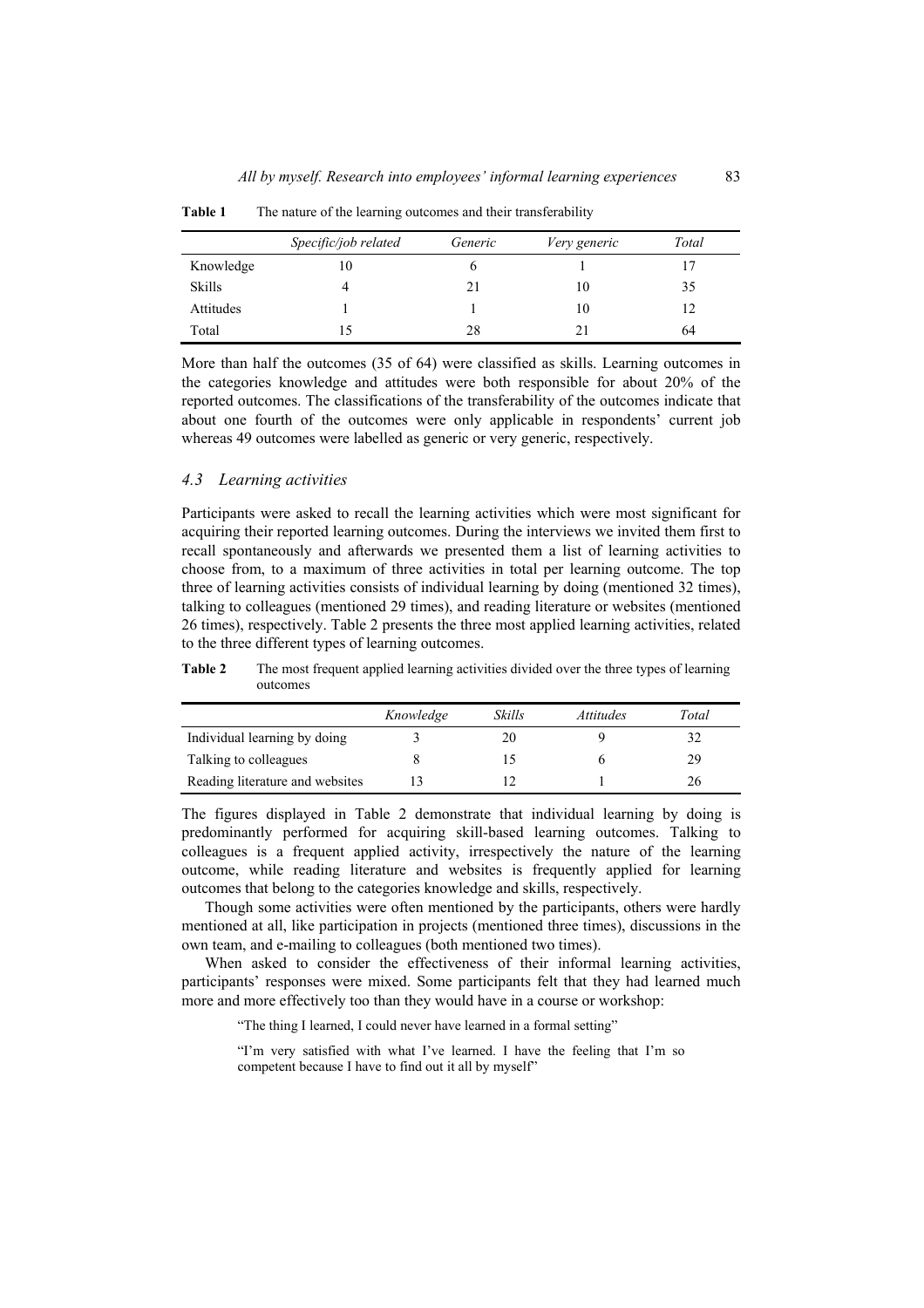|           | Specific/job related | Generic | Very generic | Total |
|-----------|----------------------|---------|--------------|-------|
| Knowledge | 10                   |         |              |       |
| Skills    |                      |         | 10           | 35    |
| Attitudes |                      |         | 10           | 12    |
| Total     | 15                   | 28      |              | 64    |

**Table 1** The nature of the learning outcomes and their transferability

More than half the outcomes (35 of 64) were classified as skills. Learning outcomes in the categories knowledge and attitudes were both responsible for about 20% of the reported outcomes. The classifications of the transferability of the outcomes indicate that about one fourth of the outcomes were only applicable in respondents' current job whereas 49 outcomes were labelled as generic or very generic, respectively.

#### *4.3 Learning activities*

Participants were asked to recall the learning activities which were most significant for acquiring their reported learning outcomes. During the interviews we invited them first to recall spontaneously and afterwards we presented them a list of learning activities to choose from, to a maximum of three activities in total per learning outcome. The top three of learning activities consists of individual learning by doing (mentioned 32 times), talking to colleagues (mentioned 29 times), and reading literature or websites (mentioned 26 times), respectively. Table 2 presents the three most applied learning activities, related to the three different types of learning outcomes.

Table 2 The most frequent applied learning activities divided over the three types of learning outcomes

|                                 | Knowledge | Skills | <i>Attitudes</i> | Total |
|---------------------------------|-----------|--------|------------------|-------|
| Individual learning by doing    |           | 20     |                  | 32    |
| Talking to colleagues           |           | 15     |                  | 29    |
| Reading literature and websites |           |        |                  | 26    |

The figures displayed in Table 2 demonstrate that individual learning by doing is predominantly performed for acquiring skill-based learning outcomes. Talking to colleagues is a frequent applied activity, irrespectively the nature of the learning outcome, while reading literature and websites is frequently applied for learning outcomes that belong to the categories knowledge and skills, respectively.

Though some activities were often mentioned by the participants, others were hardly mentioned at all, like participation in projects (mentioned three times), discussions in the own team, and e-mailing to colleagues (both mentioned two times).

When asked to consider the effectiveness of their informal learning activities, participants' responses were mixed. Some participants felt that they had learned much more and more effectively too than they would have in a course or workshop:

"The thing I learned, I could never have learned in a formal setting"

"I'm very satisfied with what I've learned. I have the feeling that I'm so competent because I have to find out it all by myself"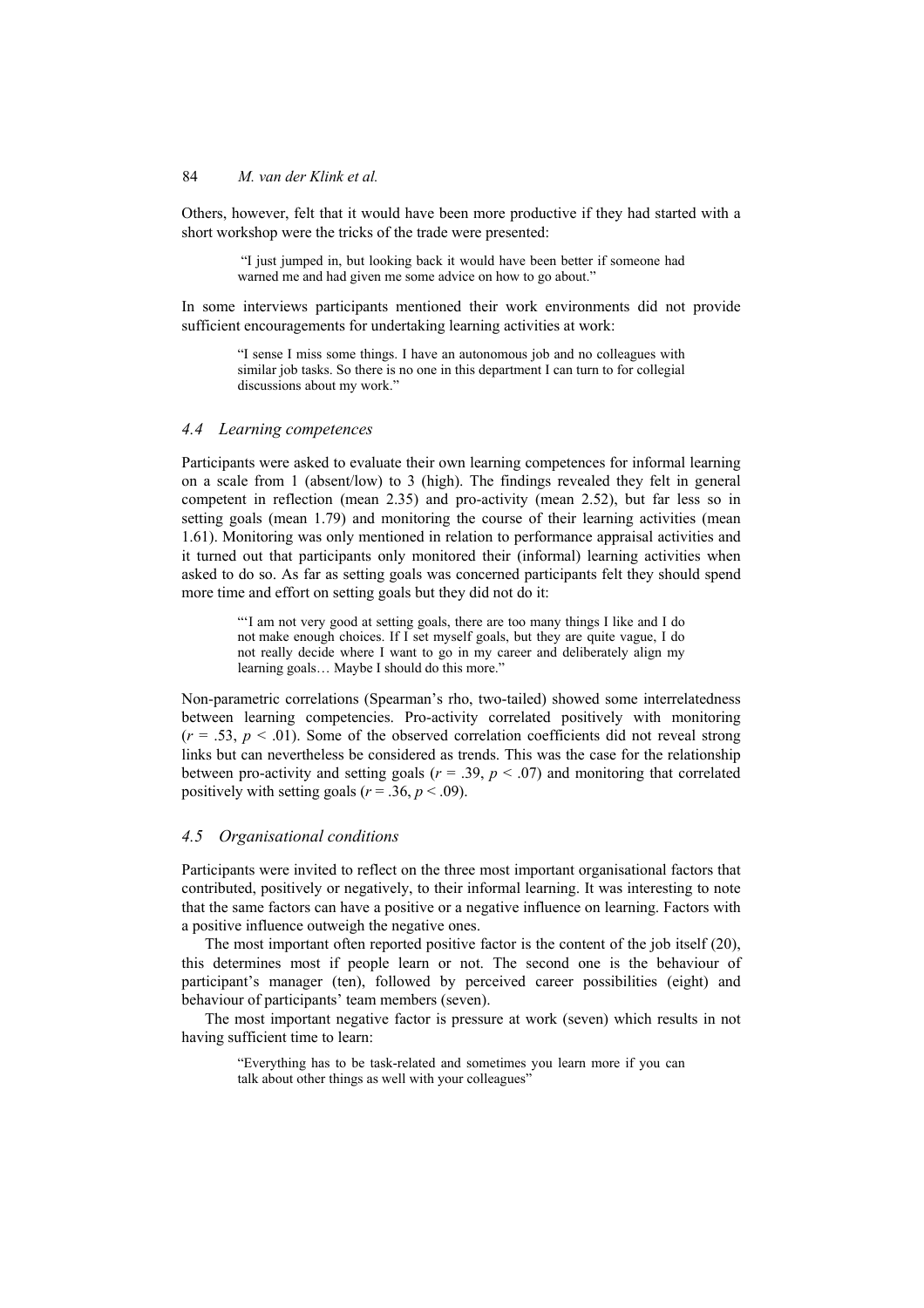Others, however, felt that it would have been more productive if they had started with a short workshop were the tricks of the trade were presented:

 "I just jumped in, but looking back it would have been better if someone had warned me and had given me some advice on how to go about."

In some interviews participants mentioned their work environments did not provide sufficient encouragements for undertaking learning activities at work:

"I sense I miss some things. I have an autonomous job and no colleagues with similar job tasks. So there is no one in this department I can turn to for collegial discussions about my work."

#### *4.4 Learning competences*

Participants were asked to evaluate their own learning competences for informal learning on a scale from 1 (absent/low) to 3 (high). The findings revealed they felt in general competent in reflection (mean 2.35) and pro-activity (mean 2.52), but far less so in setting goals (mean 1.79) and monitoring the course of their learning activities (mean 1.61). Monitoring was only mentioned in relation to performance appraisal activities and it turned out that participants only monitored their (informal) learning activities when asked to do so. As far as setting goals was concerned participants felt they should spend more time and effort on setting goals but they did not do it:

> "'I am not very good at setting goals, there are too many things I like and I do not make enough choices. If I set myself goals, but they are quite vague, I do not really decide where I want to go in my career and deliberately align my learning goals… Maybe I should do this more."

Non-parametric correlations (Spearman's rho, two-tailed) showed some interrelatedness between learning competencies. Pro-activity correlated positively with monitoring  $(r = .53, p < .01)$ . Some of the observed correlation coefficients did not reveal strong links but can nevertheless be considered as trends. This was the case for the relationship between pro-activity and setting goals ( $r = .39$ ,  $p < .07$ ) and monitoring that correlated positively with setting goals ( $r = .36$ ,  $p < .09$ ).

#### *4.5 Organisational conditions*

Participants were invited to reflect on the three most important organisational factors that contributed, positively or negatively, to their informal learning. It was interesting to note that the same factors can have a positive or a negative influence on learning. Factors with a positive influence outweigh the negative ones.

The most important often reported positive factor is the content of the job itself (20), this determines most if people learn or not. The second one is the behaviour of participant's manager (ten), followed by perceived career possibilities (eight) and behaviour of participants' team members (seven).

The most important negative factor is pressure at work (seven) which results in not having sufficient time to learn:

"Everything has to be task-related and sometimes you learn more if you can talk about other things as well with your colleagues'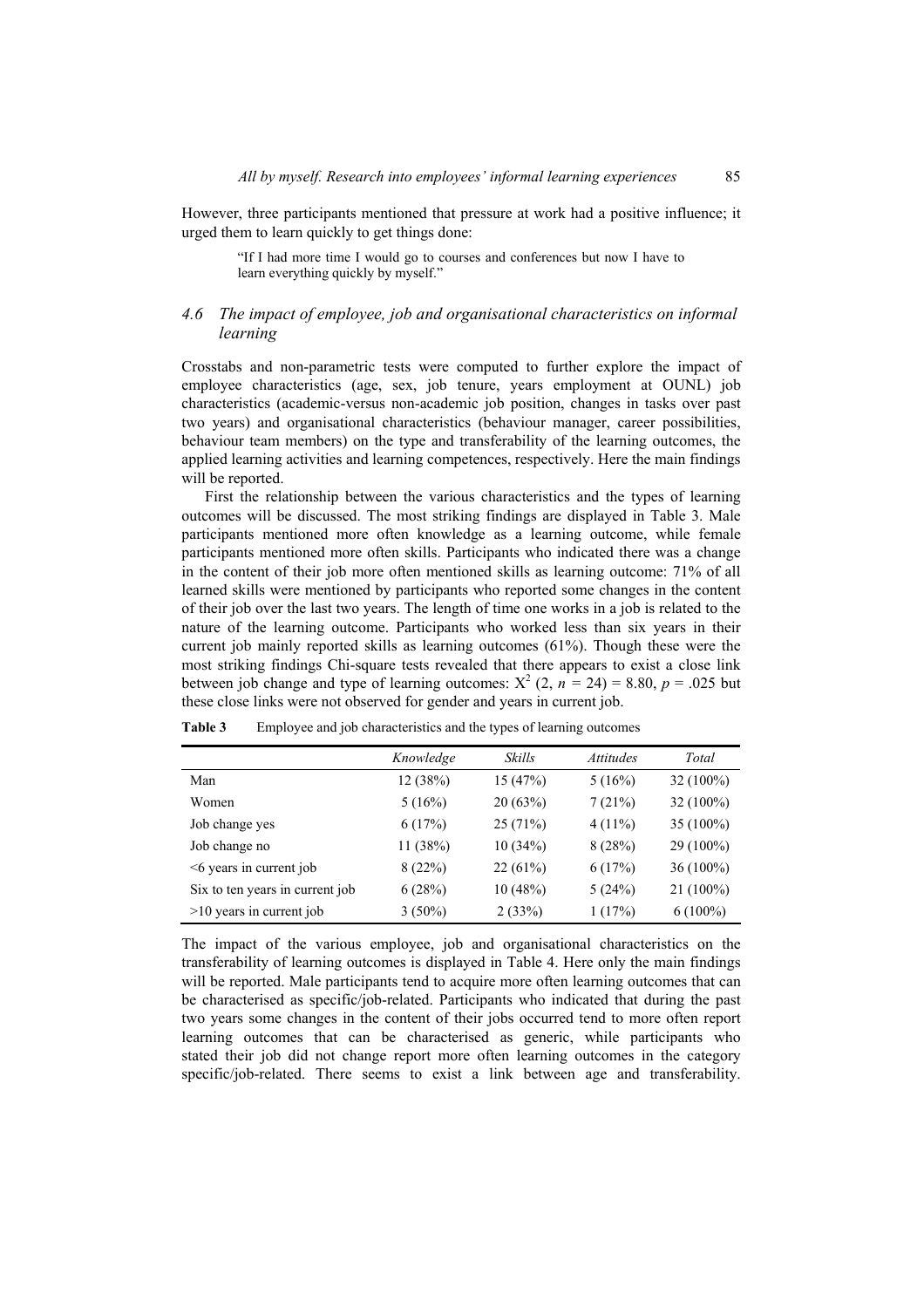However, three participants mentioned that pressure at work had a positive influence; it urged them to learn quickly to get things done:

"If I had more time I would go to courses and conferences but now I have to learn everything quickly by myself."

## *4.6 The impact of employee, job and organisational characteristics on informal learning*

Crosstabs and non-parametric tests were computed to further explore the impact of employee characteristics (age, sex, job tenure, years employment at OUNL) job characteristics (academic-versus non-academic job position, changes in tasks over past two years) and organisational characteristics (behaviour manager, career possibilities, behaviour team members) on the type and transferability of the learning outcomes, the applied learning activities and learning competences, respectively. Here the main findings will be reported.

First the relationship between the various characteristics and the types of learning outcomes will be discussed. The most striking findings are displayed in Table 3. Male participants mentioned more often knowledge as a learning outcome, while female participants mentioned more often skills. Participants who indicated there was a change in the content of their job more often mentioned skills as learning outcome: 71% of all learned skills were mentioned by participants who reported some changes in the content of their job over the last two years. The length of time one works in a job is related to the nature of the learning outcome. Participants who worked less than six years in their current job mainly reported skills as learning outcomes (61%). Though these were the most striking findings Chi-square tests revealed that there appears to exist a close link between job change and type of learning outcomes:  $X^2$  (2,  $n = 24$ ) = 8.80,  $p = .025$  but these close links were not observed for gender and years in current job.

|                                 | Knowledge | Skills  | <i>Attitudes</i> | Total       |
|---------------------------------|-----------|---------|------------------|-------------|
| Man                             | 12 (38%)  | 15(47%) | 5(16%)           | $32(100\%)$ |
| Women                           | 5(16%)    | 20(63%) | 7(21%)           | $32(100\%)$ |
| Job change yes                  | 6(17%)    | 25(71%) | $4(11\%)$        | 35 (100%)   |
| Job change no                   | 11(38%)   | 10(34%) | 8(28%)           | 29 (100%)   |
| $<6$ years in current job       | 8(22%)    | 22(61%) | 6(17%)           | $36(100\%)$ |
| Six to ten years in current job | 6(28%)    | 10(48%) | 5(24%)           | $21(100\%)$ |
| $>10$ years in current job      | $3(50\%)$ | 2(33%)  | 1(17%)           | $6(100\%)$  |

**Table 3** Employee and job characteristics and the types of learning outcomes

The impact of the various employee, job and organisational characteristics on the transferability of learning outcomes is displayed in Table 4. Here only the main findings will be reported. Male participants tend to acquire more often learning outcomes that can be characterised as specific/job-related. Participants who indicated that during the past two years some changes in the content of their jobs occurred tend to more often report learning outcomes that can be characterised as generic, while participants who stated their job did not change report more often learning outcomes in the category specific/job-related. There seems to exist a link between age and transferability.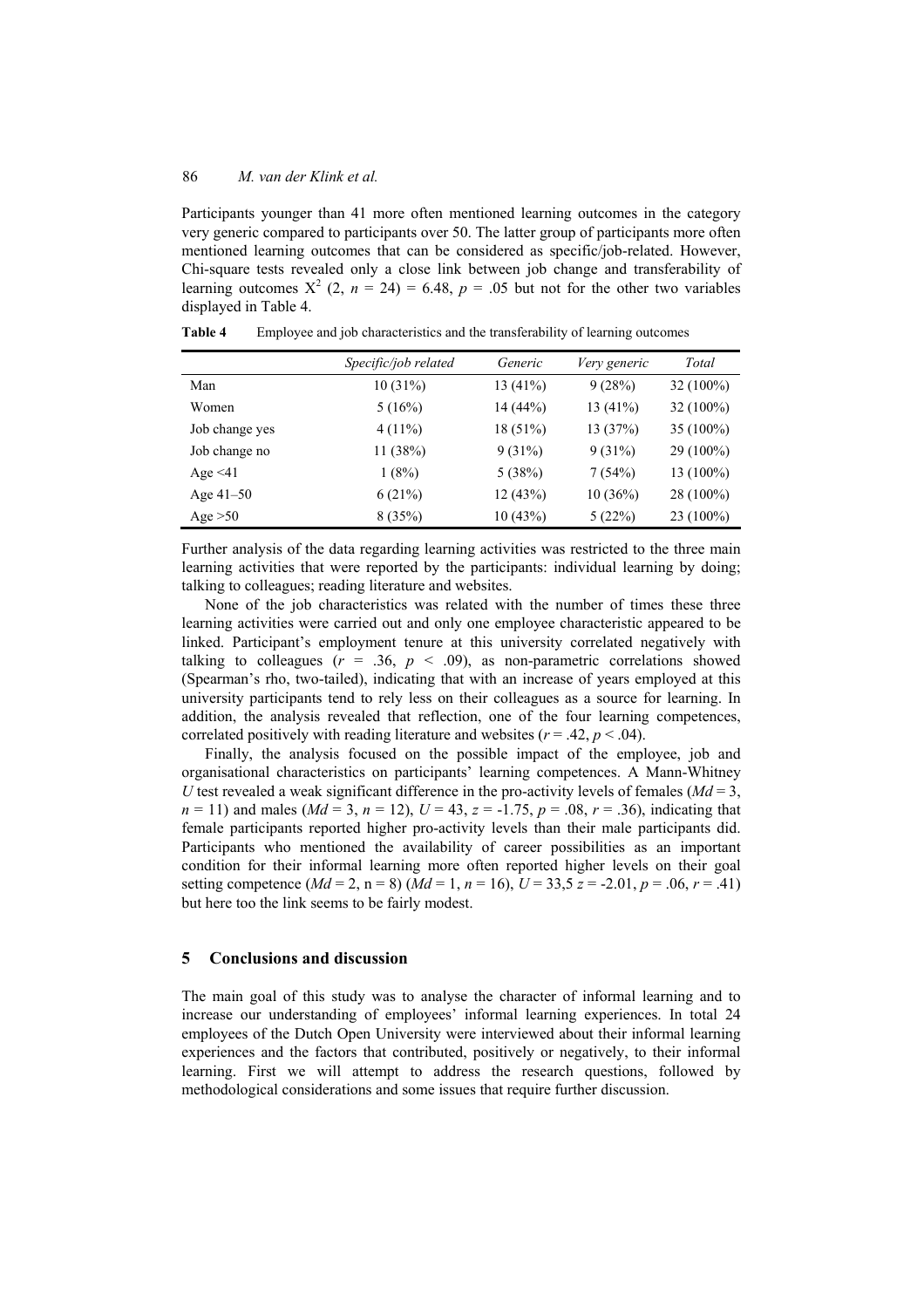Participants younger than 41 more often mentioned learning outcomes in the category very generic compared to participants over 50. The latter group of participants more often mentioned learning outcomes that can be considered as specific/job-related. However, Chi-square tests revealed only a close link between job change and transferability of learning outcomes  $X^2$  (2,  $n = 24$ ) = 6.48,  $p = .05$  but not for the other two variables displayed in Table 4.

|                | Specific/job related | Generic    | Very generic | Total       |
|----------------|----------------------|------------|--------------|-------------|
| Man            | 10(31%)              | $13(41\%)$ | 9(28%)       | $32(100\%)$ |
| Women          | 5(16%)               | 14(44%)    | 13(41%)      | $32(100\%)$ |
| Job change yes | $4(11\%)$            | $18(51\%)$ | 13(37%)      | $35(100\%)$ |
| Job change no  | 11 (38%)             | 9(31%)     | 9(31%)       | 29 (100%)   |
| Age $\leq 41$  | 1(8%)                | 5(38%)     | 7(54%)       | $13(100\%)$ |
| Age $41 - 50$  | 6(21%)               | 12(43%)    | 10(36%)      | 28 (100%)   |
| Age $>50$      | 8(35%)               | 10(43%)    | 5(22%)       | $23(100\%)$ |

**Table 4** Employee and job characteristics and the transferability of learning outcomes

Further analysis of the data regarding learning activities was restricted to the three main learning activities that were reported by the participants: individual learning by doing; talking to colleagues; reading literature and websites.

None of the job characteristics was related with the number of times these three learning activities were carried out and only one employee characteristic appeared to be linked. Participant's employment tenure at this university correlated negatively with talking to colleagues  $(r = .36, p < .09)$ , as non-parametric correlations showed (Spearman's rho, two-tailed), indicating that with an increase of years employed at this university participants tend to rely less on their colleagues as a source for learning. In addition, the analysis revealed that reflection, one of the four learning competences, correlated positively with reading literature and websites ( $r = .42$ ,  $p < .04$ ).

Finally, the analysis focused on the possible impact of the employee, job and organisational characteristics on participants' learning competences. A Mann-Whitney *U* test revealed a weak significant difference in the pro-activity levels of females ( $Md = 3$ ,  $n = 11$ ) and males ( $Md = 3$ ,  $n = 12$ ),  $U = 43$ ,  $z = -1.75$ ,  $p = .08$ ,  $r = .36$ ), indicating that female participants reported higher pro-activity levels than their male participants did. Participants who mentioned the availability of career possibilities as an important condition for their informal learning more often reported higher levels on their goal setting competence  $(Md = 2, n = 8)$   $(Md = 1, n = 16)$ ,  $U = 33.5$   $z = -2.01$ ,  $p = .06$ ,  $r = .41$ ) but here too the link seems to be fairly modest.

#### **5 Conclusions and discussion**

The main goal of this study was to analyse the character of informal learning and to increase our understanding of employees' informal learning experiences. In total 24 employees of the Dutch Open University were interviewed about their informal learning experiences and the factors that contributed, positively or negatively, to their informal learning. First we will attempt to address the research questions, followed by methodological considerations and some issues that require further discussion.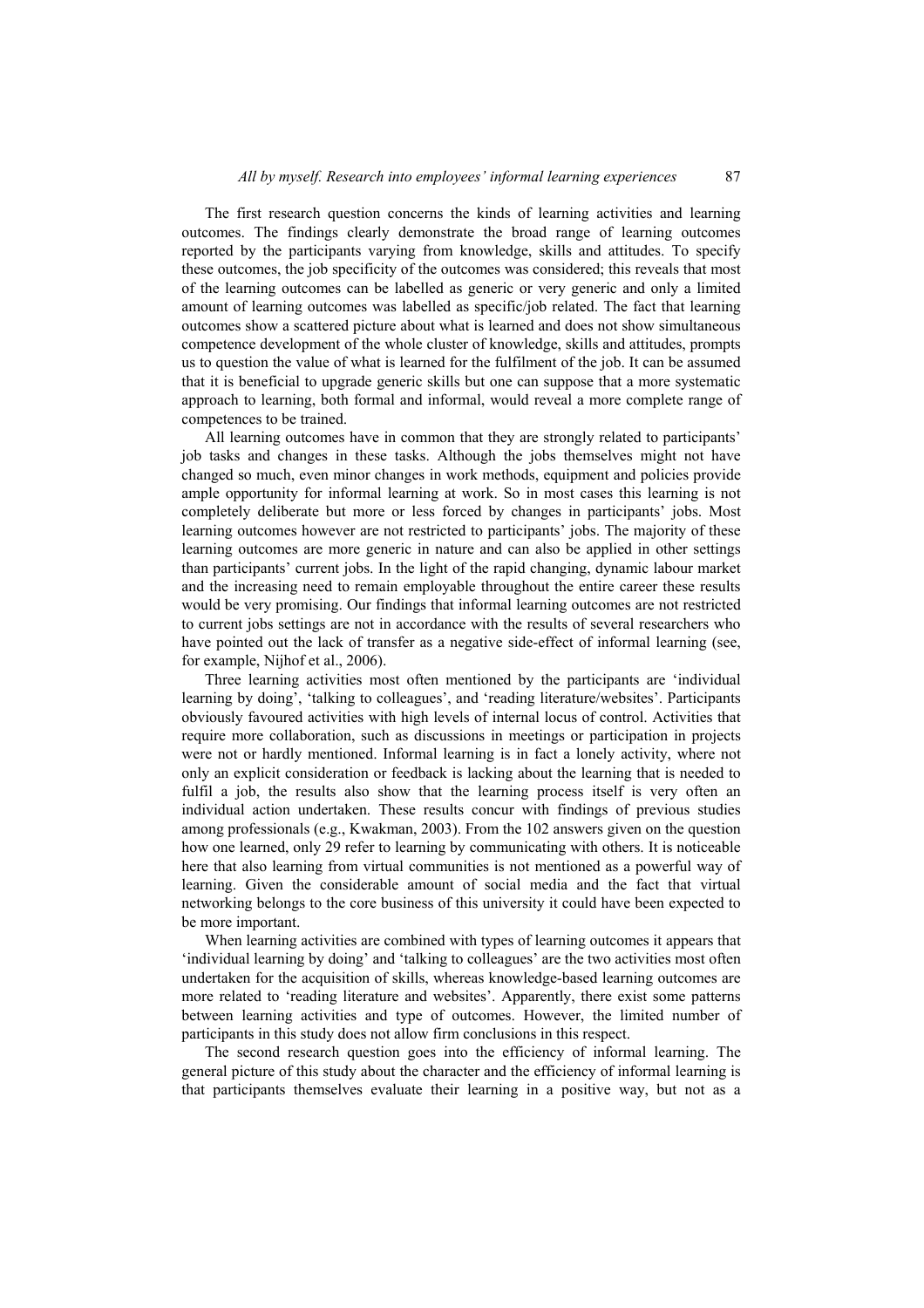The first research question concerns the kinds of learning activities and learning outcomes. The findings clearly demonstrate the broad range of learning outcomes reported by the participants varying from knowledge, skills and attitudes. To specify these outcomes, the job specificity of the outcomes was considered; this reveals that most of the learning outcomes can be labelled as generic or very generic and only a limited amount of learning outcomes was labelled as specific/job related. The fact that learning outcomes show a scattered picture about what is learned and does not show simultaneous competence development of the whole cluster of knowledge, skills and attitudes, prompts us to question the value of what is learned for the fulfilment of the job. It can be assumed that it is beneficial to upgrade generic skills but one can suppose that a more systematic approach to learning, both formal and informal, would reveal a more complete range of competences to be trained.

All learning outcomes have in common that they are strongly related to participants' job tasks and changes in these tasks. Although the jobs themselves might not have changed so much, even minor changes in work methods, equipment and policies provide ample opportunity for informal learning at work. So in most cases this learning is not completely deliberate but more or less forced by changes in participants' jobs. Most learning outcomes however are not restricted to participants' jobs. The majority of these learning outcomes are more generic in nature and can also be applied in other settings than participants' current jobs. In the light of the rapid changing, dynamic labour market and the increasing need to remain employable throughout the entire career these results would be very promising. Our findings that informal learning outcomes are not restricted to current jobs settings are not in accordance with the results of several researchers who have pointed out the lack of transfer as a negative side-effect of informal learning (see, for example, Nijhof et al., 2006).

Three learning activities most often mentioned by the participants are 'individual learning by doing', 'talking to colleagues', and 'reading literature/websites'. Participants obviously favoured activities with high levels of internal locus of control. Activities that require more collaboration, such as discussions in meetings or participation in projects were not or hardly mentioned. Informal learning is in fact a lonely activity, where not only an explicit consideration or feedback is lacking about the learning that is needed to fulfil a job, the results also show that the learning process itself is very often an individual action undertaken. These results concur with findings of previous studies among professionals (e.g., Kwakman, 2003). From the 102 answers given on the question how one learned, only 29 refer to learning by communicating with others. It is noticeable here that also learning from virtual communities is not mentioned as a powerful way of learning. Given the considerable amount of social media and the fact that virtual networking belongs to the core business of this university it could have been expected to be more important.

When learning activities are combined with types of learning outcomes it appears that 'individual learning by doing' and 'talking to colleagues' are the two activities most often undertaken for the acquisition of skills, whereas knowledge-based learning outcomes are more related to 'reading literature and websites'. Apparently, there exist some patterns between learning activities and type of outcomes. However, the limited number of participants in this study does not allow firm conclusions in this respect.

The second research question goes into the efficiency of informal learning. The general picture of this study about the character and the efficiency of informal learning is that participants themselves evaluate their learning in a positive way, but not as a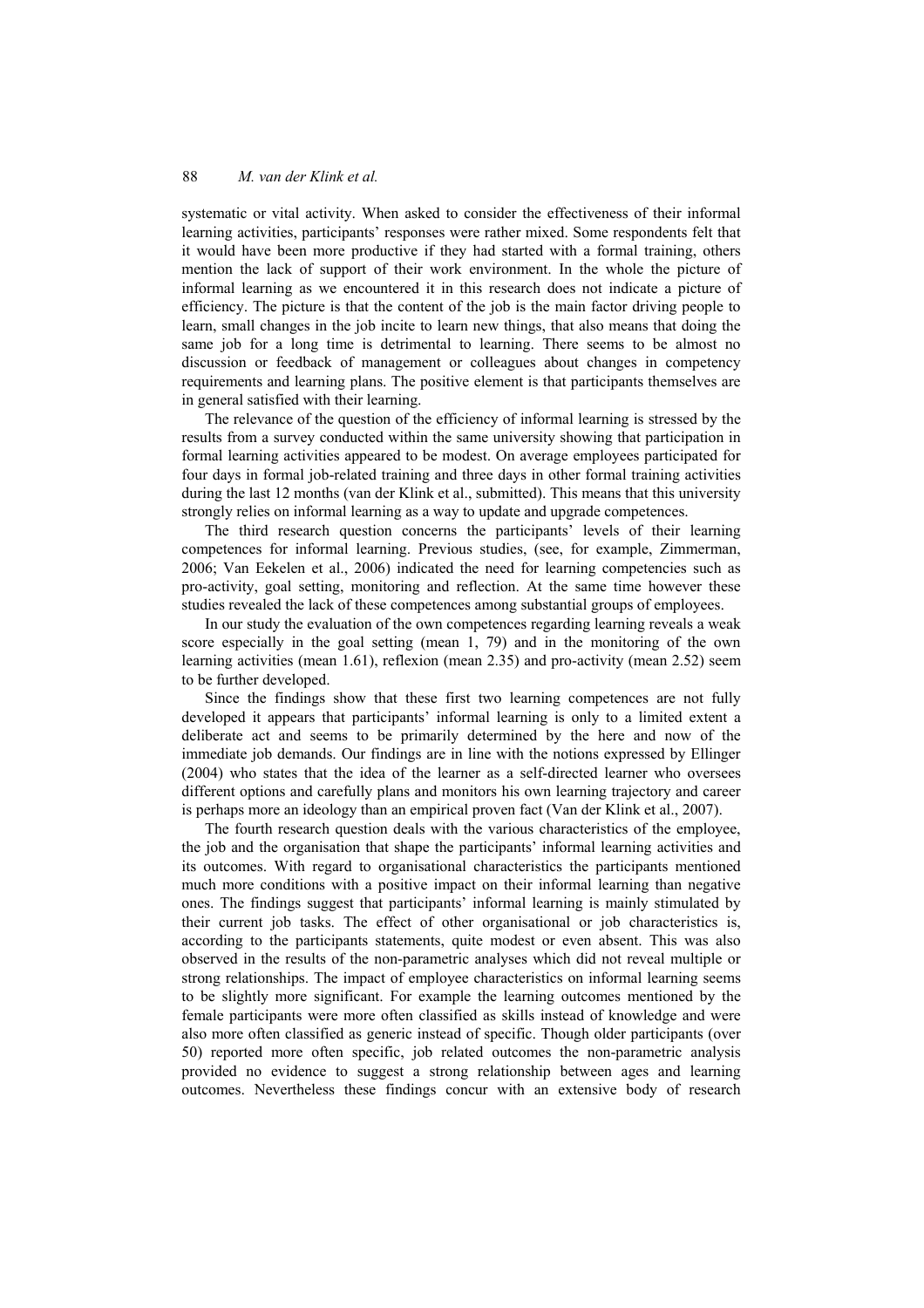systematic or vital activity. When asked to consider the effectiveness of their informal learning activities, participants' responses were rather mixed. Some respondents felt that it would have been more productive if they had started with a formal training, others mention the lack of support of their work environment. In the whole the picture of informal learning as we encountered it in this research does not indicate a picture of efficiency. The picture is that the content of the job is the main factor driving people to learn, small changes in the job incite to learn new things, that also means that doing the same job for a long time is detrimental to learning. There seems to be almost no discussion or feedback of management or colleagues about changes in competency requirements and learning plans. The positive element is that participants themselves are in general satisfied with their learning.

The relevance of the question of the efficiency of informal learning is stressed by the results from a survey conducted within the same university showing that participation in formal learning activities appeared to be modest. On average employees participated for four days in formal job-related training and three days in other formal training activities during the last 12 months (van der Klink et al., submitted). This means that this university strongly relies on informal learning as a way to update and upgrade competences.

The third research question concerns the participants' levels of their learning competences for informal learning. Previous studies, (see, for example, Zimmerman, 2006; Van Eekelen et al., 2006) indicated the need for learning competencies such as pro-activity, goal setting, monitoring and reflection. At the same time however these studies revealed the lack of these competences among substantial groups of employees.

In our study the evaluation of the own competences regarding learning reveals a weak score especially in the goal setting (mean 1, 79) and in the monitoring of the own learning activities (mean 1.61), reflexion (mean 2.35) and pro-activity (mean 2.52) seem to be further developed.

Since the findings show that these first two learning competences are not fully developed it appears that participants' informal learning is only to a limited extent a deliberate act and seems to be primarily determined by the here and now of the immediate job demands. Our findings are in line with the notions expressed by Ellinger (2004) who states that the idea of the learner as a self-directed learner who oversees different options and carefully plans and monitors his own learning trajectory and career is perhaps more an ideology than an empirical proven fact (Van der Klink et al., 2007).

The fourth research question deals with the various characteristics of the employee, the job and the organisation that shape the participants' informal learning activities and its outcomes. With regard to organisational characteristics the participants mentioned much more conditions with a positive impact on their informal learning than negative ones. The findings suggest that participants' informal learning is mainly stimulated by their current job tasks. The effect of other organisational or job characteristics is, according to the participants statements, quite modest or even absent. This was also observed in the results of the non-parametric analyses which did not reveal multiple or strong relationships. The impact of employee characteristics on informal learning seems to be slightly more significant. For example the learning outcomes mentioned by the female participants were more often classified as skills instead of knowledge and were also more often classified as generic instead of specific. Though older participants (over 50) reported more often specific, job related outcomes the non-parametric analysis provided no evidence to suggest a strong relationship between ages and learning outcomes. Nevertheless these findings concur with an extensive body of research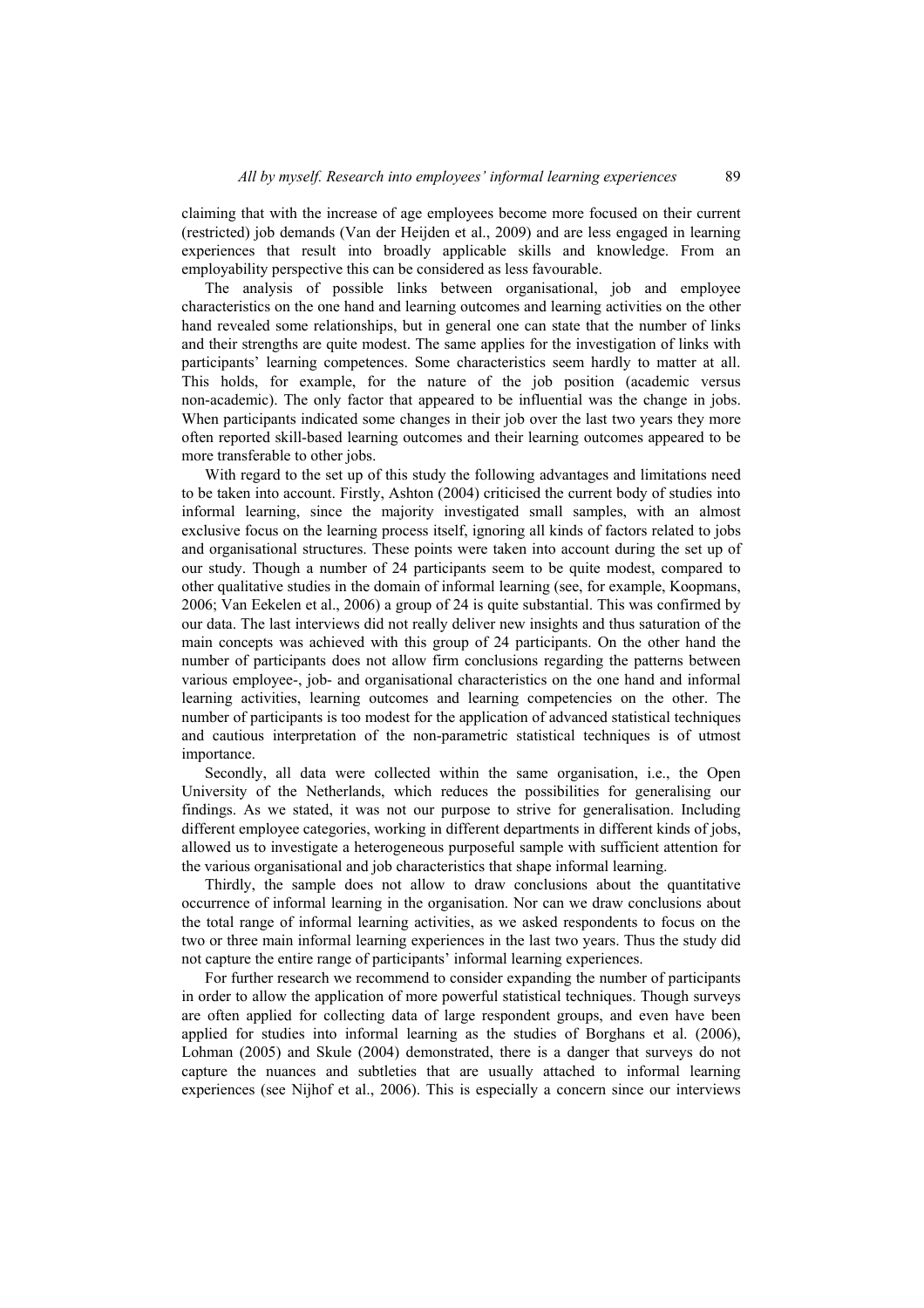claiming that with the increase of age employees become more focused on their current (restricted) job demands (Van der Heijden et al., 2009) and are less engaged in learning experiences that result into broadly applicable skills and knowledge. From an employability perspective this can be considered as less favourable.

The analysis of possible links between organisational, job and employee characteristics on the one hand and learning outcomes and learning activities on the other hand revealed some relationships, but in general one can state that the number of links and their strengths are quite modest. The same applies for the investigation of links with participants' learning competences. Some characteristics seem hardly to matter at all. This holds, for example, for the nature of the job position (academic versus non-academic). The only factor that appeared to be influential was the change in jobs. When participants indicated some changes in their job over the last two years they more often reported skill-based learning outcomes and their learning outcomes appeared to be more transferable to other jobs.

With regard to the set up of this study the following advantages and limitations need to be taken into account. Firstly, Ashton (2004) criticised the current body of studies into informal learning, since the majority investigated small samples, with an almost exclusive focus on the learning process itself, ignoring all kinds of factors related to jobs and organisational structures. These points were taken into account during the set up of our study. Though a number of 24 participants seem to be quite modest, compared to other qualitative studies in the domain of informal learning (see, for example, Koopmans, 2006; Van Eekelen et al., 2006) a group of 24 is quite substantial. This was confirmed by our data. The last interviews did not really deliver new insights and thus saturation of the main concepts was achieved with this group of 24 participants. On the other hand the number of participants does not allow firm conclusions regarding the patterns between various employee-, job- and organisational characteristics on the one hand and informal learning activities, learning outcomes and learning competencies on the other. The number of participants is too modest for the application of advanced statistical techniques and cautious interpretation of the non-parametric statistical techniques is of utmost importance.

Secondly, all data were collected within the same organisation, i.e., the Open University of the Netherlands, which reduces the possibilities for generalising our findings. As we stated, it was not our purpose to strive for generalisation. Including different employee categories, working in different departments in different kinds of jobs, allowed us to investigate a heterogeneous purposeful sample with sufficient attention for the various organisational and job characteristics that shape informal learning.

Thirdly, the sample does not allow to draw conclusions about the quantitative occurrence of informal learning in the organisation. Nor can we draw conclusions about the total range of informal learning activities, as we asked respondents to focus on the two or three main informal learning experiences in the last two years. Thus the study did not capture the entire range of participants' informal learning experiences.

For further research we recommend to consider expanding the number of participants in order to allow the application of more powerful statistical techniques. Though surveys are often applied for collecting data of large respondent groups, and even have been applied for studies into informal learning as the studies of Borghans et al. (2006), Lohman (2005) and Skule (2004) demonstrated, there is a danger that surveys do not capture the nuances and subtleties that are usually attached to informal learning experiences (see Nijhof et al., 2006). This is especially a concern since our interviews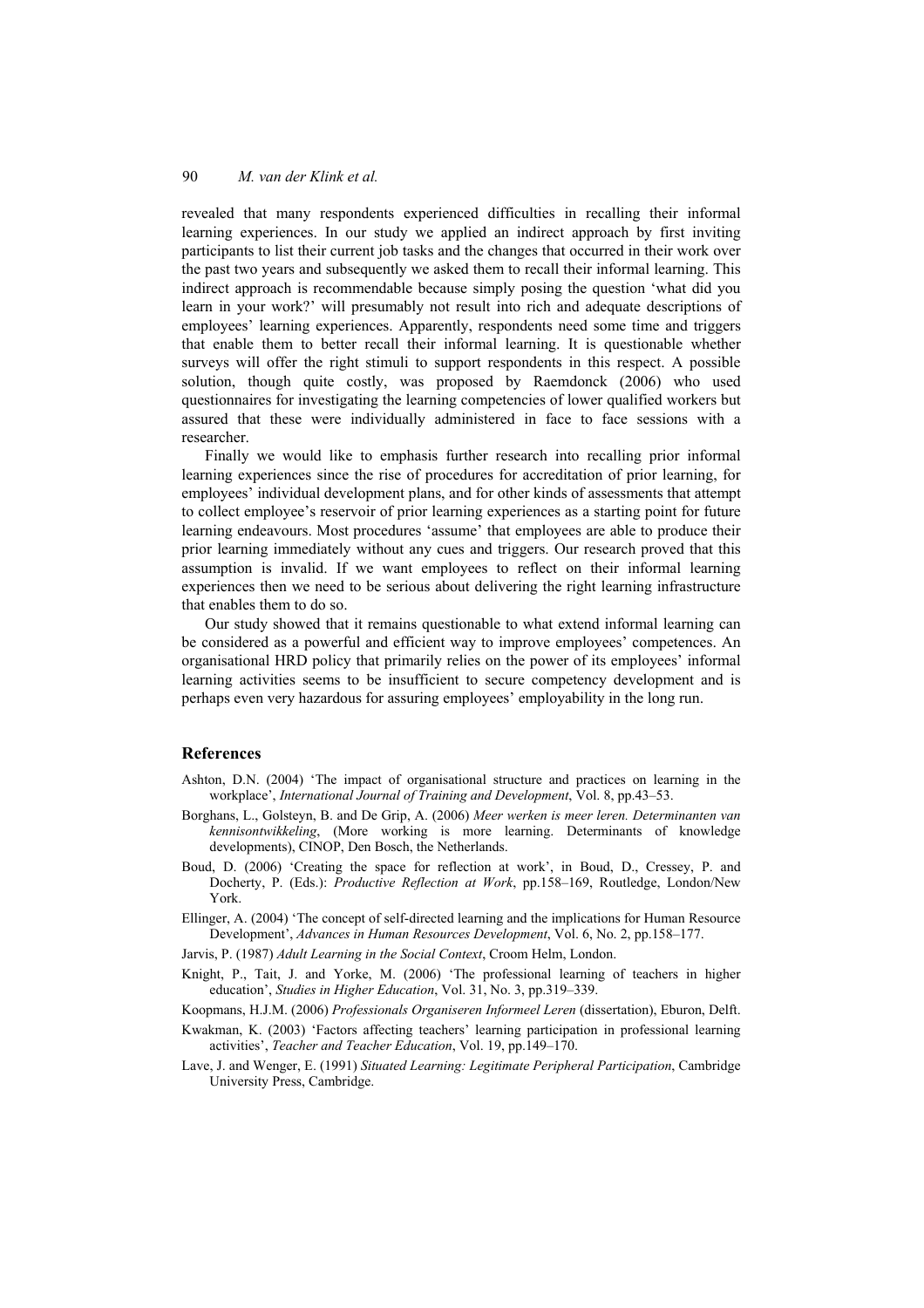revealed that many respondents experienced difficulties in recalling their informal learning experiences. In our study we applied an indirect approach by first inviting participants to list their current job tasks and the changes that occurred in their work over the past two years and subsequently we asked them to recall their informal learning. This indirect approach is recommendable because simply posing the question 'what did you learn in your work?' will presumably not result into rich and adequate descriptions of employees' learning experiences. Apparently, respondents need some time and triggers that enable them to better recall their informal learning. It is questionable whether surveys will offer the right stimuli to support respondents in this respect. A possible solution, though quite costly, was proposed by Raemdonck (2006) who used questionnaires for investigating the learning competencies of lower qualified workers but assured that these were individually administered in face to face sessions with a researcher.

Finally we would like to emphasis further research into recalling prior informal learning experiences since the rise of procedures for accreditation of prior learning, for employees' individual development plans, and for other kinds of assessments that attempt to collect employee's reservoir of prior learning experiences as a starting point for future learning endeavours. Most procedures 'assume' that employees are able to produce their prior learning immediately without any cues and triggers. Our research proved that this assumption is invalid. If we want employees to reflect on their informal learning experiences then we need to be serious about delivering the right learning infrastructure that enables them to do so.

Our study showed that it remains questionable to what extend informal learning can be considered as a powerful and efficient way to improve employees' competences. An organisational HRD policy that primarily relies on the power of its employees' informal learning activities seems to be insufficient to secure competency development and is perhaps even very hazardous for assuring employees' employability in the long run.

#### **References**

- Ashton, D.N. (2004) 'The impact of organisational structure and practices on learning in the workplace', *International Journal of Training and Development*, Vol. 8, pp.43–53.
- Borghans, L., Golsteyn, B. and De Grip, A. (2006) *Meer werken is meer leren. Determinanten van kennisontwikkeling*, (More working is more learning. Determinants of knowledge developments), CINOP, Den Bosch, the Netherlands.
- Boud, D. (2006) 'Creating the space for reflection at work', in Boud, D., Cressey, P. and Docherty, P. (Eds.): *Productive Reflection at Work*, pp.158–169, Routledge, London/New York.
- Ellinger, A. (2004) 'The concept of self-directed learning and the implications for Human Resource Development', *Advances in Human Resources Development*, Vol. 6, No. 2, pp.158–177.
- Jarvis, P. (1987) *Adult Learning in the Social Context*, Croom Helm, London.
- Knight, P., Tait, J. and Yorke, M. (2006) 'The professional learning of teachers in higher education', *Studies in Higher Education*, Vol. 31, No. 3, pp.319–339.
- Koopmans, H.J.M. (2006) *Professionals Organiseren Informeel Leren* (dissertation), Eburon, Delft.
- Kwakman, K. (2003) 'Factors affecting teachers' learning participation in professional learning activities', *Teacher and Teacher Education*, Vol. 19, pp.149–170.
- Lave, J. and Wenger, E. (1991) *Situated Learning: Legitimate Peripheral Participation*, Cambridge University Press, Cambridge.